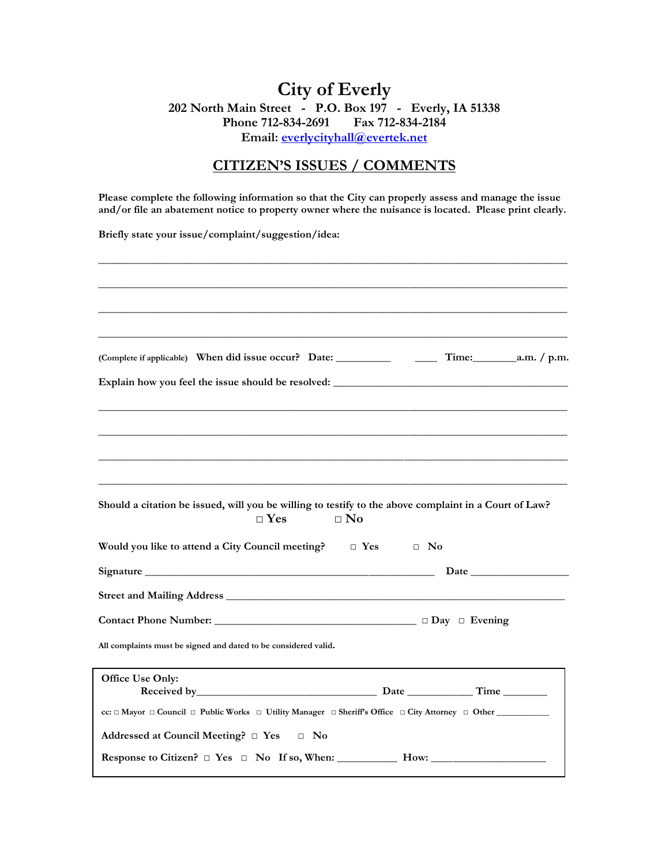# **City of Everly 202 North Main Street - P.O. Box 197 - Everly, IA 51338 Phone 712-834-2691 Fax 712-834-2184 Email: [everlycityhall@evertek.net](mailto:everlycityhall@evertek.net)**

## **CITIZEN'S ISSUES / COMMENTS**

**Please complete the following information so that the City can properly assess and manage the issue and/or file an abatement notice to property owner where the nuisance is located. Please print clearly.**

**Briefly state your issue/complaint/suggestion/idea:**

| Explain how you feel the issue should be resolved: ______________________________                     |              |  |  |  |
|-------------------------------------------------------------------------------------------------------|--------------|--|--|--|
|                                                                                                       |              |  |  |  |
|                                                                                                       |              |  |  |  |
|                                                                                                       |              |  |  |  |
|                                                                                                       |              |  |  |  |
|                                                                                                       |              |  |  |  |
|                                                                                                       |              |  |  |  |
| Should a citation be issued, will you be willing to testify to the above complaint in a Court of Law? |              |  |  |  |
| $\square$ Yes                                                                                         | $\square$ No |  |  |  |
| Would you like to attend a City Council meeting? $\Box$ Yes $\Box$ No                                 |              |  |  |  |
|                                                                                                       |              |  |  |  |
|                                                                                                       |              |  |  |  |
|                                                                                                       |              |  |  |  |
|                                                                                                       |              |  |  |  |
| All complaints must be signed and dated to be considered valid.                                       |              |  |  |  |
|                                                                                                       |              |  |  |  |
| Office Use Only:                                                                                      |              |  |  |  |
|                                                                                                       |              |  |  |  |
|                                                                                                       |              |  |  |  |
| Addressed at Council Meeting? $\Box$ Yes $\Box$ No                                                    |              |  |  |  |
| Response to Citizen? □ Yes □ No If so, When: ______________ How: ________________                     |              |  |  |  |
|                                                                                                       |              |  |  |  |